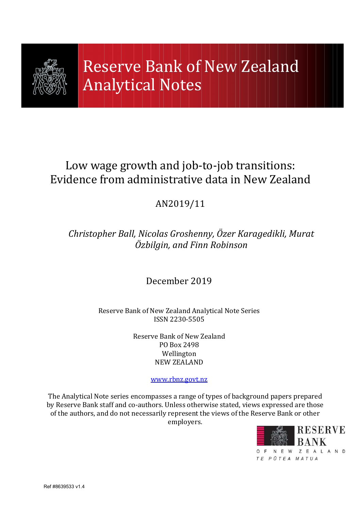

# Low wage growth and job-to-job transitions: Evidence from administrative data in New Zealand

## AN2019/11

## Christopher Ball, Nicolas Groshenny, Özer Karagedikli, Murat Özbilgin, and Finn Robinson

## December 2019

## Reserve Bank of New Zealand Analytical Note Series ISSN 2230-5505

Reserve Bank of New Zealand PO Box 2498 Wellington NEW ZEALAND

www.rbnz.govt.nz

The Analytical Note series encompasses a range of types of background papers prepared by Reserve Bank staff and co-authors. Unless otherwise stated, views expressed are those of the authors, and do not necessarily represent the views of the Reserve Bank or other employers.

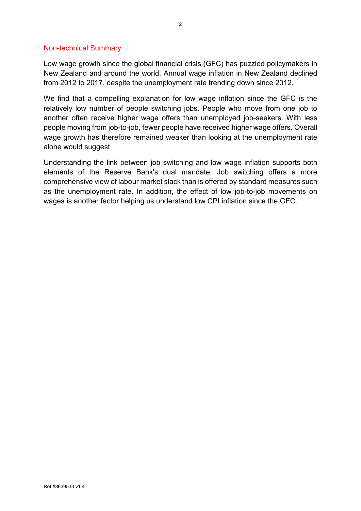#### Non-technical Summary

Low wage growth since the global financial crisis (GFC) has puzzled policymakers in New Zealand and around the world. Annual wage inflation in New Zealand declined from 2012 to 2017, despite the unemployment rate trending down since 2012.

We find that a compelling explanation for low wage inflation since the GFC is the relatively low number of people switching jobs. People who move from one job to another often receive higher wage offers than unemployed job-seekers. With less people moving from job-to-job, fewer people have received higher wage offers. Overall wage growth has therefore remained weaker than looking at the unemployment rate alone would suggest.

Understanding the link between job switching and low wage inflation supports both elements of the Reserve Bank's dual mandate. Job switching offers a more comprehensive view of labour market slack than is offered by standard measures such as the unemployment rate. In addition, the effect of low job-to-job movements on wages is another factor helping us understand low CPI inflation since the GFC.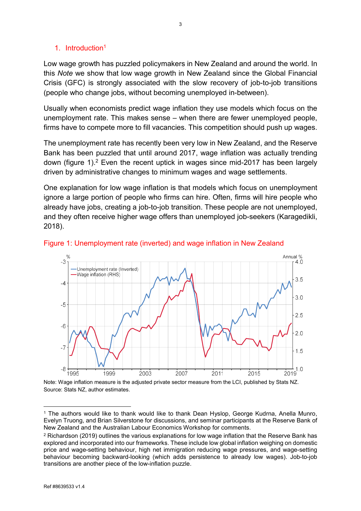## 1. Introduction<sup>1</sup>

Low wage growth has puzzled policymakers in New Zealand and around the world. In this Note we show that low wage growth in New Zealand since the Global Financial Crisis (GFC) is strongly associated with the slow recovery of job-to-job transitions (people who change jobs, without becoming unemployed in-between).

Usually when economists predict wage inflation they use models which focus on the unemployment rate. This makes sense – when there are fewer unemployed people, firms have to compete more to fill vacancies. This competition should push up wages.

The unemployment rate has recently been very low in New Zealand, and the Reserve Bank has been puzzled that until around 2017, wage inflation was actually trending down (figure 1).<sup>2</sup> Even the recent uptick in wages since mid-2017 has been largely driven by administrative changes to minimum wages and wage settlements.

One explanation for low wage inflation is that models which focus on unemployment ignore a large portion of people who firms can hire. Often, firms will hire people who already have jobs, creating a job-to-job transition. These people are not unemployed, and they often receive higher wage offers than unemployed job-seekers (Karagedikli, 2018).





Note: Wage inflation measure is the adjusted private sector measure from the LCI, published by Stats NZ. Source: Stats NZ, author estimates.

 $\overline{a}$ 1 The authors would like to thank would like to thank Dean Hyslop, George Kudrna, Anella Munro, Evelyn Truong, and Brian Silverstone for discussions, and seminar participants at the Reserve Bank of New Zealand and the Australian Labour Economics Workshop for comments.

 $2$  Richardson (2019) outlines the various explanations for low wage inflation that the Reserve Bank has explored and incorporated into our frameworks. These include low global inflation weighing on domestic price and wage-setting behaviour, high net immigration reducing wage pressures, and wage-setting behaviour becoming backward-looking (which adds persistence to already low wages). Job-to-job transitions are another piece of the low-inflation puzzle.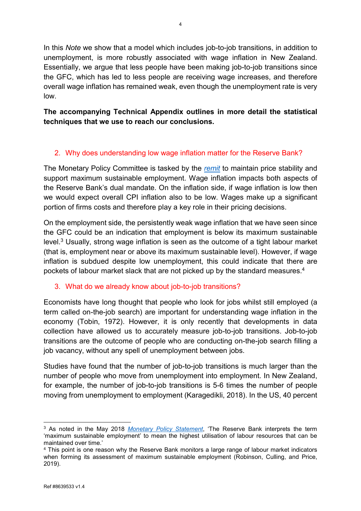In this Note we show that a model which includes job-to-job transitions, in addition to unemployment, is more robustly associated with wage inflation in New Zealand. Essentially, we argue that less people have been making job-to-job transitions since the GFC, which has led to less people are receiving wage increases, and therefore overall wage inflation has remained weak, even though the unemployment rate is very low.

## The accompanying Technical Appendix outlines in more detail the statistical techniques that we use to reach our conclusions.

## 2. Why does understanding low wage inflation matter for the Reserve Bank?

The Monetary Policy Committee is tasked by the remit to maintain price stability and support maximum sustainable employment. Wage inflation impacts both aspects of the Reserve Bank's dual mandate. On the inflation side, if wage inflation is low then we would expect overall CPI inflation also to be low. Wages make up a significant portion of firms costs and therefore play a key role in their pricing decisions.

On the employment side, the persistently weak wage inflation that we have seen since the GFC could be an indication that employment is below its maximum sustainable level.<sup>3</sup> Usually, strong wage inflation is seen as the outcome of a tight labour market (that is, employment near or above its maximum sustainable level). However, if wage inflation is subdued despite low unemployment, this could indicate that there are pockets of labour market slack that are not picked up by the standard measures.<sup>4</sup>

## 3. What do we already know about job-to-job transitions?

Economists have long thought that people who look for jobs whilst still employed (a term called on-the-job search) are important for understanding wage inflation in the economy (Tobin, 1972). However, it is only recently that developments in data collection have allowed us to accurately measure job-to-job transitions. Job-to-job transitions are the outcome of people who are conducting on-the-job search filling a job vacancy, without any spell of unemployment between jobs.

Studies have found that the number of job-to-job transitions is much larger than the number of people who move from unemployment into employment. In New Zealand, for example, the number of job-to-job transitions is 5-6 times the number of people moving from unemployment to employment (Karagedikli, 2018). In the US, 40 percent

 $\overline{a}$ 

<sup>&</sup>lt;sup>3</sup> As noted in the May 2018 *Monetary Policy Statement*, 'The Reserve Bank interprets the term 'maximum sustainable employment' to mean the highest utilisation of labour resources that can be maintained over time.'

<sup>4</sup> This point is one reason why the Reserve Bank monitors a large range of labour market indicators when forming its assessment of maximum sustainable employment (Robinson, Culling, and Price, 2019).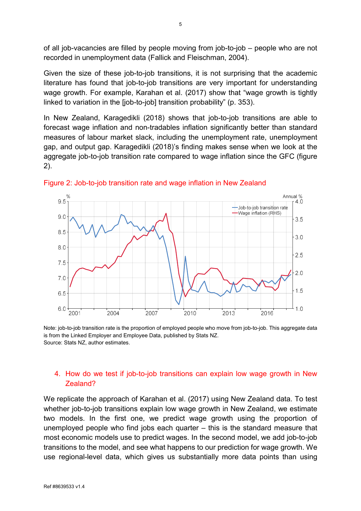of all job-vacancies are filled by people moving from job-to-job – people who are not recorded in unemployment data (Fallick and Fleischman, 2004).

Given the size of these job-to-job transitions, it is not surprising that the academic literature has found that job-to-job transitions are very important for understanding wage growth. For example, Karahan et al. (2017) show that "wage growth is tightly linked to variation in the [job-to-job] transition probability" (p. 353).

In New Zealand, Karagedikli (2018) shows that job-to-job transitions are able to forecast wage inflation and non-tradables inflation significantly better than standard measures of labour market slack, including the unemployment rate, unemployment gap, and output gap. Karagedikli (2018)'s finding makes sense when we look at the aggregate job-to-job transition rate compared to wage inflation since the GFC (figure 2).



Figure 2: Job-to-job transition rate and wage inflation in New Zealand

Note: job-to-job transition rate is the proportion of employed people who move from job-to-job. This aggregate data is from the Linked Employer and Employee Data, published by Stats NZ. Source: Stats NZ, author estimates.

### 4. How do we test if job-to-job transitions can explain low wage growth in New Zealand?

We replicate the approach of Karahan et al. (2017) using New Zealand data. To test whether job-to-job transitions explain low wage growth in New Zealand, we estimate two models. In the first one, we predict wage growth using the proportion of unemployed people who find jobs each quarter – this is the standard measure that most economic models use to predict wages. In the second model, we add job-to-job transitions to the model, and see what happens to our prediction for wage growth. We use regional-level data, which gives us substantially more data points than using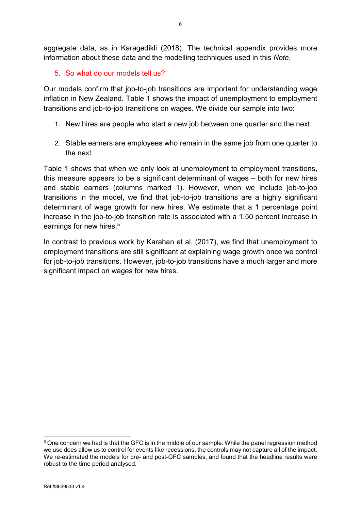aggregate data, as in Karagedikli (2018). The technical appendix provides more information about these data and the modelling techniques used in this Note.

## 5. So what do our models tell us?

Our models confirm that job-to-job transitions are important for understanding wage inflation in New Zealand. Table 1 shows the impact of unemployment to employment transitions and job-to-job transitions on wages. We divide our sample into two:

- 1. New hires are people who start a new job between one quarter and the next.
- 2. Stable earners are employees who remain in the same job from one quarter to the next.

Table 1 shows that when we only look at unemployment to employment transitions, this measure appears to be a significant determinant of wages – both for new hires and stable earners (columns marked 1). However, when we include job-to-job transitions in the model, we find that job-to-job transitions are a highly significant determinant of wage growth for new hires. We estimate that a 1 percentage point increase in the job-to-job transition rate is associated with a 1.50 percent increase in earnings for new hires.<sup>5</sup>

In contrast to previous work by Karahan et al. (2017), we find that unemployment to employment transitions are still significant at explaining wage growth once we control for job-to-job transitions. However, job-to-job transitions have a much larger and more significant impact on wages for new hires.

 $\overline{a}$ 5 One concern we had is that the GFC is in the middle of our sample. While the panel regression method we use does allow us to control for events like recessions, the controls may not capture all of the impact. We re-estimated the models for pre- and post-GFC samples, and found that the headline results were robust to the time period analysed.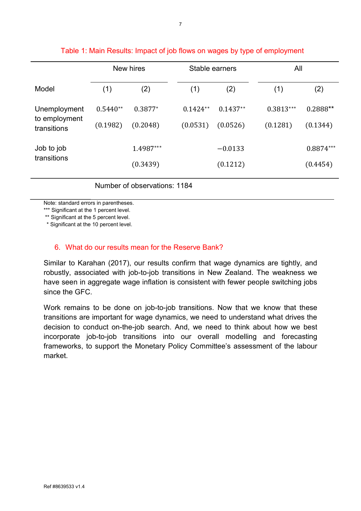|                                              | New hires              |                       | Stable earners         |                        |  | All                     |                         |
|----------------------------------------------|------------------------|-----------------------|------------------------|------------------------|--|-------------------------|-------------------------|
| Model                                        | (1)                    | (2)                   | (1)                    | (2)                    |  | (1)                     | (2)                     |
| Unemployment<br>to employment<br>transitions | $0.5440**$<br>(0.1982) | $0.3877*$<br>(0.2048) | $0.1424**$<br>(0.0531) | $0.1437**$<br>(0.0526) |  | $0.3813***$<br>(0.1281) | $0.2888**$<br>(0.1344)  |
| Job to job<br>transitions                    |                        | 1.4987***<br>(0.3439) |                        | $-0.0133$<br>(0.1212)  |  |                         | $0.8874***$<br>(0.4454) |

## Table 1: Main Results: Impact of job flows on wages by type of employment

Number of observations: 1184

Note: standard errors in parentheses.

\*\*\* Significant at the 1 percent level.

\*\* Significant at the 5 percent level.

\* Significant at the 10 percent level.

### 6. What do our results mean for the Reserve Bank?

Similar to Karahan (2017), our results confirm that wage dynamics are tightly, and robustly, associated with job-to-job transitions in New Zealand. The weakness we have seen in aggregate wage inflation is consistent with fewer people switching jobs since the GFC.

Work remains to be done on job-to-job transitions. Now that we know that these transitions are important for wage dynamics, we need to understand what drives the decision to conduct on-the-job search. And, we need to think about how we best incorporate job-to-job transitions into our overall modelling and forecasting frameworks, to support the Monetary Policy Committee's assessment of the labour market.